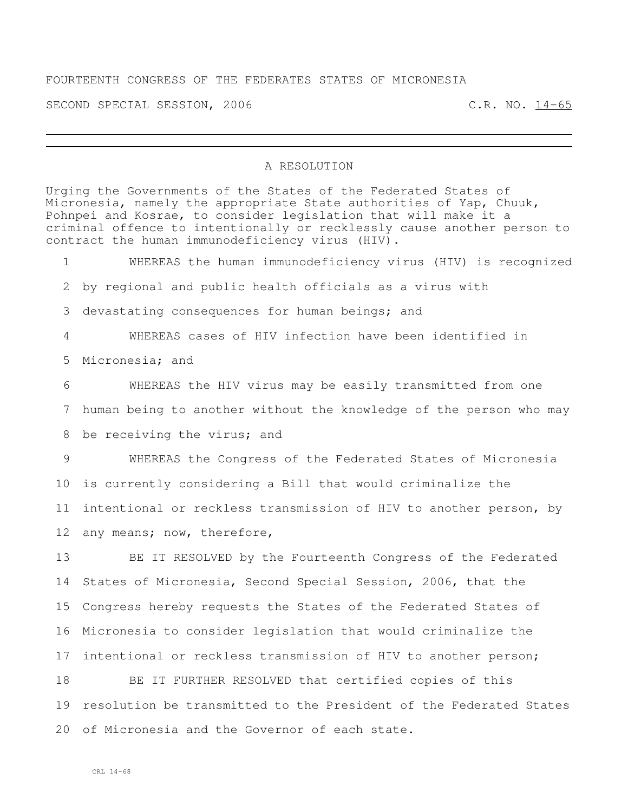## FOURTEENTH CONGRESS OF THE FEDERATES STATES OF MICRONESIA

SECOND SPECIAL SESSION, 2006 C.R. NO. 14-65

## A RESOLUTION

Urging the Governments of the States of the Federated States of Micronesia, namely the appropriate State authorities of Yap, Chuuk, Pohnpei and Kosrae, to consider legislation that will make it a criminal offence to intentionally or recklessly cause another person to contract the human immunodeficiency virus (HIV).

 WHEREAS the human immunodeficiency virus (HIV) is recognized by regional and public health officials as a virus with devastating consequences for human beings; and WHEREAS cases of HIV infection have been identified in Micronesia; and WHEREAS the HIV virus may be easily transmitted from one human being to another without the knowledge of the person who may 8 be receiving the virus; and WHEREAS the Congress of the Federated States of Micronesia is currently considering a Bill that would criminalize the intentional or reckless transmission of HIV to another person, by any means; now, therefore,

 BE IT RESOLVED by the Fourteenth Congress of the Federated States of Micronesia, Second Special Session, 2006, that the Congress hereby requests the States of the Federated States of Micronesia to consider legislation that would criminalize the intentional or reckless transmission of HIV to another person;

 BE IT FURTHER RESOLVED that certified copies of this resolution be transmitted to the President of the Federated States of Micronesia and the Governor of each state.